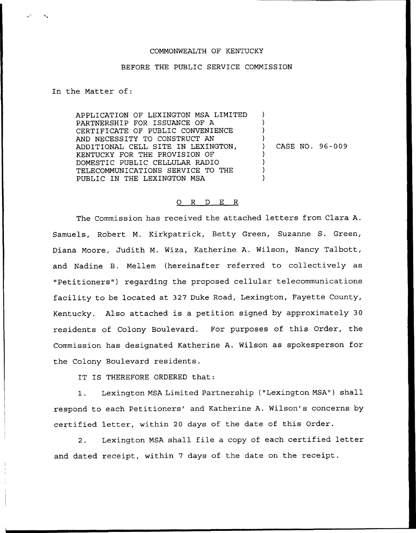## COMMONWEALTH OF KENTUCKY

## BEFORE THE PUBLIC SERVICE COMMISSION

## In the Matter of:

APPLICATION OF LEXINGTON MSA LIMITED PARTNERSHIP FOR ISSUANCE OF A CERTIFICATE OF PUBLIC CONVENIENCE AND NECESSITY TO CONSTRUCT AN ADDITIONAL CELL SITE IN LEXINGTON, KENTUCKY FOR THE PROVISION OF DOMESTIC PUBLIC CELLULAR RADIO TELECOMMUNICATIONS SERVICE TO THE PUBLIC IN THE LEXINGTON MSA

) ) CASE NO. 96-009

) ) )

> ) ) ) )

## 0 R <sup>D</sup> E R

The Commission has received the attached letters from Clara A. Samuels, Robert M. Kirkpatrick, Betty Green, Suzanne S. Green, Diana Moore, Judith M. Wiza, Katherine A. Wilson, Nancy Talbott, and Nadine B. Mellem (hereinafter referred to collectively as "Petitioners") regarding the proposed cellular telecommunications facility to be located at 327 Duke Road, Lexington, Fayette County, Kentucky. Also attached is a petition signed by approximately 30 residents of Colony Boulevard. For purposes of this Order, the Commission has designated Katherine A. Wilson as spokesperson for the Colony Boulevard residents.

IT IS THEREFORE ORDERED that:

1. Lexington MSA Limited Partnership ("Lexington MSA") shall respond to each Petitioners' and Katherine A. Wilson's concerns by certified letter, within <sup>20</sup> days of the date of this Order.

2. Lexington MSA shall file <sup>a</sup> copy of each certified letter and dated receipt, within <sup>7</sup> days of the date on the receipt.